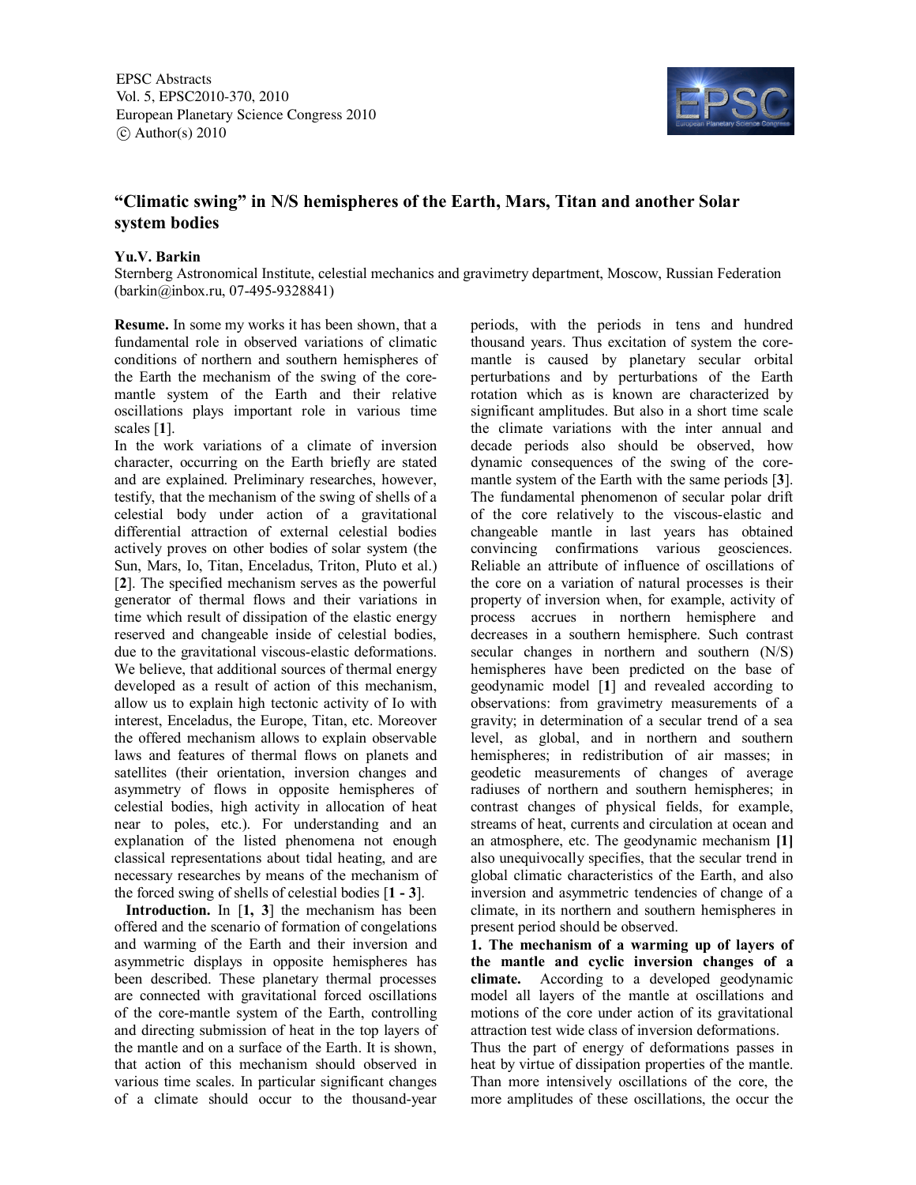EPSC Abstracts Vol. 5, EPSC2010-370, 2010 European Planetary Science Congress 2010  $\circ$  Author(s) 2010



## **"Climatic swing" in N/S hemispheres of the Earth, Mars, Titan and another Solar system bodies**

## **Yu.V. Barkin**

Sternberg Astronomical Institute, celestial mechanics and gravimetry department, Moscow, Russian Federation (barkin@inbox.ru, 07-495-9328841)

**Resume.** In some my works it has been shown, that a fundamental role in observed variations of climatic conditions of northern and southern hemispheres of the Earth the mechanism of the swing of the coremantle system of the Earth and their relative oscillations plays important role in various time scales [**1**].

In the work variations of a climate of inversion character, occurring on the Earth briefly are stated and are explained. Preliminary researches, however, testify, that the mechanism of the swing of shells of a celestial body under action of a gravitational differential attraction of external celestial bodies actively proves on other bodies of solar system (the Sun, Mars, Io, Titan, Enceladus, Triton, Pluto et al.) [**2**]. The specified mechanism serves as the powerful generator of thermal flows and their variations in time which result of dissipation of the elastic energy reserved and changeable inside of celestial bodies, due to the gravitational viscous-elastic deformations. We believe, that additional sources of thermal energy developed as a result of action of this mechanism, allow us to explain high tectonic activity of Io with interest, Enceladus, the Europe, Titan, etc. Moreover the offered mechanism allows to explain observable laws and features of thermal flows on planets and satellites (their orientation, inversion changes and asymmetry of flows in opposite hemispheres of celestial bodies, high activity in allocation of heat near to poles, etc.). For understanding and an explanation of the listed phenomena not enough classical representations about tidal heating, and are necessary researches by means of the mechanism of the forced swing of shells of celestial bodies [**1 - 3**].

 **Introduction.** In [**1, 3**] the mechanism has been offered and the scenario of formation of congelations and warming of the Earth and their inversion and asymmetric displays in opposite hemispheres has been described. These planetary thermal processes are connected with gravitational forced oscillations of the core-mantle system of the Earth, controlling and directing submission of heat in the top layers of the mantle and on a surface of the Earth. It is shown, that action of this mechanism should observed in various time scales. In particular significant changes of a climate should occur to the thousand-year periods, with the periods in tens and hundred thousand years. Thus excitation of system the coremantle is caused by planetary secular orbital perturbations and by perturbations of the Earth rotation which as is known are characterized by significant amplitudes. But also in a short time scale the climate variations with the inter annual and decade periods also should be observed, how dynamic consequences of the swing of the coremantle system of the Earth with the same periods [**3**]. The fundamental phenomenon of secular polar drift of the core relatively to the viscous-elastic and changeable mantle in last years has obtained convincing confirmations various geosciences. Reliable an attribute of influence of oscillations of the core on a variation of natural processes is their property of inversion when, for example, activity of process accrues in northern hemisphere and decreases in a southern hemisphere. Such contrast secular changes in northern and southern (N/S) hemispheres have been predicted on the base of geodynamic model [**1**] and revealed according to observations: from gravimetry measurements of a gravity; in determination of a secular trend of a sea level, as global, and in northern and southern hemispheres; in redistribution of air masses; in geodetic measurements of changes of average radiuses of northern and southern hemispheres; in contrast changes of physical fields, for example, streams of heat, currents and circulation at ocean and an atmosphere, etc. The geodynamic mechanism **[1]** also unequivocally specifies, that the secular trend in global climatic characteristics of the Earth, and also inversion and asymmetric tendencies of change of a climate, in its northern and southern hemispheres in present period should be observed.

**1. The mechanism of a warming up of layers of the mantle and cyclic inversion changes of a climate.** According to a developed geodynamic model all layers of the mantle at oscillations and motions of the core under action of its gravitational attraction test wide class of inversion deformations.

Thus the part of energy of deformations passes in heat by virtue of dissipation properties of the mantle. Than more intensively oscillations of the core, the more amplitudes of these oscillations, the occur the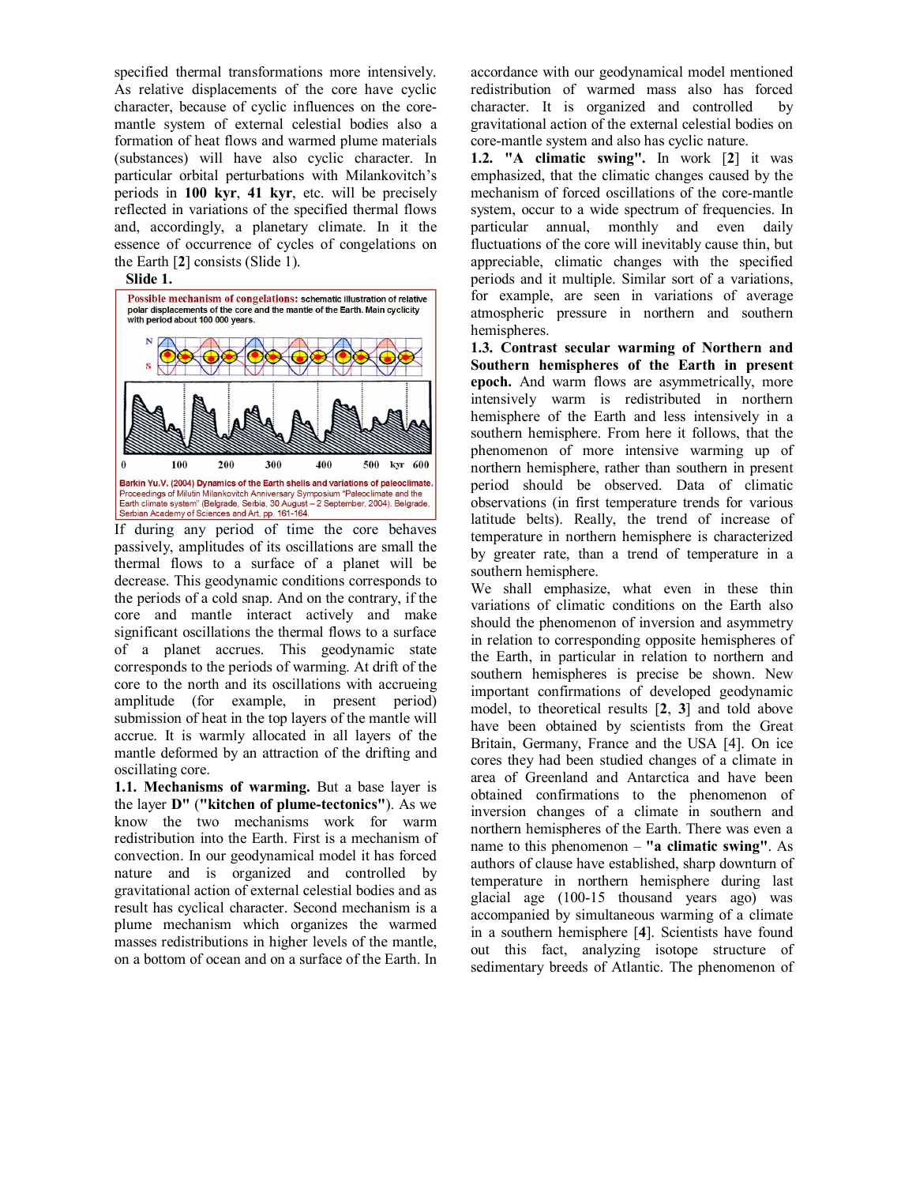specified thermal transformations more intensively. As relative displacements of the core have cyclic character, because of cyclic influences on the coremantle system of external celestial bodies also a formation of heat flows and warmed plume materials (substances) will have also cyclic character. In particular orbital perturbations with Milankovitch's periods in **100 kyr**, **41 kyr**, etc. will be precisely reflected in variations of the specified thermal flows and, accordingly, a planetary climate. In it the essence of occurrence of cycles of congelations on the Earth [**2**] consists (Slide 1).

## **Slide 1.**



If during any period of time the core behaves passively, amplitudes of its oscillations are small the thermal flows to a surface of a planet will be decrease. This geodynamic conditions corresponds to the periods of a cold snap. And on the contrary, if the core and mantle interact actively and make significant oscillations the thermal flows to a surface of a planet accrues. This geodynamic state corresponds to the periods of warming. At drift of the core to the north and its oscillations with accrueing amplitude (for example, in present period) submission of heat in the top layers of the mantle will accrue. It is warmly allocated in all layers of the mantle deformed by an attraction of the drifting and oscillating core.

**1.1. Mechanisms of warming.** But a base layer is the layer **D"** (**"kitchen of plume-tectonics"**). As we know the two mechanisms work for warm redistribution into the Earth. First is a mechanism of convection. In our geodynamical model it has forced nature and is organized and controlled by gravitational action of external celestial bodies and as result has cyclical character. Second mechanism is a plume mechanism which organizes the warmed masses redistributions in higher levels of the mantle, on a bottom of ocean and on a surface of the Earth. In accordance with our geodynamical model mentioned redistribution of warmed mass also has forced character. It is organized and controlled by gravitational action of the external celestial bodies on core-mantle system and also has cyclic nature.

**1.2. "A climatic swing".** In work [**2**] it was emphasized, that the climatic changes caused by the mechanism of forced oscillations of the core-mantle system, occur to a wide spectrum of frequencies. In particular annual, monthly and even daily fluctuations of the core will inevitably cause thin, but appreciable, climatic changes with the specified periods and it multiple. Similar sort of a variations, for example, are seen in variations of average atmospheric pressure in northern and southern hemispheres.

**1.3. Contrast secular warming of Northern and Southern hemispheres of the Earth in present epoch.** And warm flows are asymmetrically, more intensively warm is redistributed in northern hemisphere of the Earth and less intensively in a southern hemisphere. From here it follows, that the phenomenon of more intensive warming up of northern hemisphere, rather than southern in present period should be observed. Data of climatic observations (in first temperature trends for various latitude belts). Really, the trend of increase of temperature in northern hemisphere is characterized by greater rate, than a trend of temperature in a southern hemisphere.

We shall emphasize, what even in these thin variations of climatic conditions on the Earth also should the phenomenon of inversion and asymmetry in relation to corresponding opposite hemispheres of the Earth, in particular in relation to northern and southern hemispheres is precise be shown. New important confirmations of developed geodynamic model, to theoretical results [**2**, **3**] and told above have been obtained by scientists from the Great Britain, Germany, France and the USA [4]. On ice cores they had been studied changes of a climate in area of Greenland and Antarctica and have been obtained confirmations to the phenomenon of inversion changes of a climate in southern and northern hemispheres of the Earth. There was even a name to this phenomenon – **"a climatic swing"**. As authors of clause have established, sharp downturn of temperature in northern hemisphere during last glacial age (100-15 thousand years ago) was accompanied by simultaneous warming of a climate in a southern hemisphere [**4**]. Scientists have found out this fact, analyzing isotope structure of sedimentary breeds of Atlantic. The phenomenon of